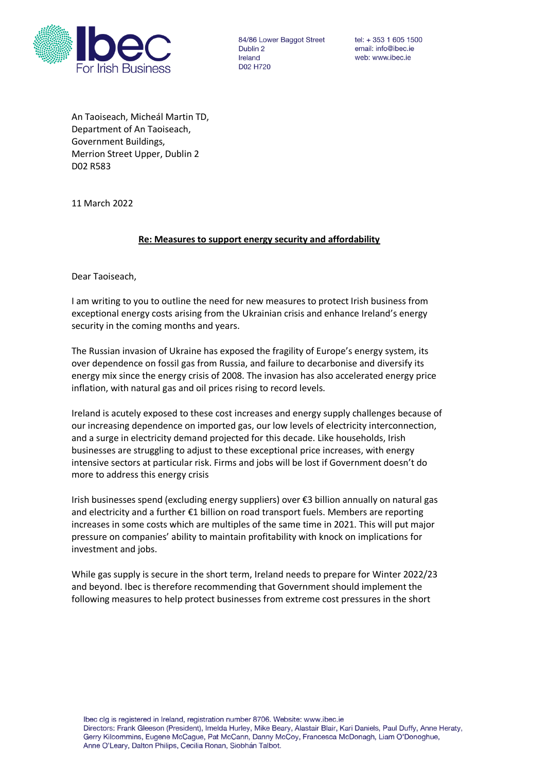

84/86 Lower Baggot Street Dublin<sub>2</sub> Ireland D02 H720

 $tel: + 353 1 605 1500$ email: info@ibec.ie web: www.ibec.ie

An Taoiseach, Micheál Martin TD, Department of An Taoiseach, Government Buildings, Merrion Street Upper, Dublin 2 D02 R583

11 March 2022

## **Re: Measures to support energy security and affordability**

Dear Taoiseach,

I am writing to you to outline the need for new measures to protect Irish business from exceptional energy costs arising from the Ukrainian crisis and enhance Ireland's energy security in the coming months and years.

The Russian invasion of Ukraine has exposed the fragility of Europe's energy system, its over dependence on fossil gas from Russia, and failure to decarbonise and diversify its energy mix since the energy crisis of 2008. The invasion has also accelerated energy price inflation, with natural gas and oil prices rising to record levels.

Ireland is acutely exposed to these cost increases and energy supply challenges because of our increasing dependence on imported gas, our low levels of electricity interconnection, and a surge in electricity demand projected for this decade. Like households, Irish businesses are struggling to adjust to these exceptional price increases, with energy intensive sectors at particular risk. Firms and jobs will be lost if Government doesn't do more to address this energy crisis

Irish businesses spend (excluding energy suppliers) over €3 billion annually on natural gas and electricity and a further €1 billion on road transport fuels. Members are reporting increases in some costs which are multiples of the same time in 2021. This will put major pressure on companies' ability to maintain profitability with knock on implications for investment and jobs.

While gas supply is secure in the short term, Ireland needs to prepare for Winter 2022/23 and beyond. Ibec is therefore recommending that Government should implement the following measures to help protect businesses from extreme cost pressures in the short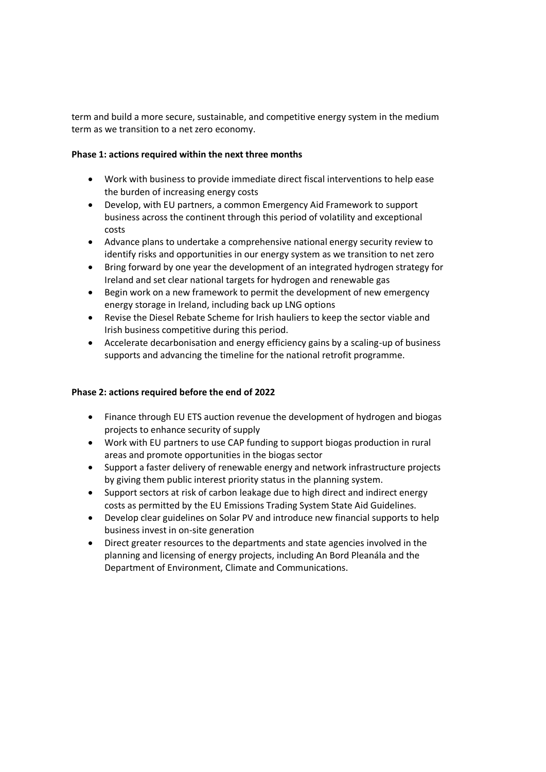term and build a more secure, sustainable, and competitive energy system in the medium term as we transition to a net zero economy.

## **Phase 1: actions required within the next three months**

- Work with business to provide immediate direct fiscal interventions to help ease the burden of increasing energy costs
- Develop, with EU partners, a common Emergency Aid Framework to support business across the continent through this period of volatility and exceptional costs
- Advance plans to undertake a comprehensive national energy security review to identify risks and opportunities in our energy system as we transition to net zero
- Bring forward by one year the development of an integrated hydrogen strategy for Ireland and set clear national targets for hydrogen and renewable gas
- Begin work on a new framework to permit the development of new emergency energy storage in Ireland, including back up LNG options
- Revise the Diesel Rebate Scheme for Irish hauliers to keep the sector viable and Irish business competitive during this period.
- Accelerate decarbonisation and energy efficiency gains by a scaling-up of business supports and advancing the timeline for the national retrofit programme.

## **Phase 2: actions required before the end of 2022**

- Finance through EU ETS auction revenue the development of hydrogen and biogas projects to enhance security of supply
- Work with EU partners to use CAP funding to support biogas production in rural areas and promote opportunities in the biogas sector
- Support a faster delivery of renewable energy and network infrastructure projects by giving them public interest priority status in the planning system.
- Support sectors at risk of carbon leakage due to high direct and indirect energy costs as permitted by the EU Emissions Trading System State Aid Guidelines.
- Develop clear guidelines on Solar PV and introduce new financial supports to help business invest in on-site generation
- Direct greater resources to the departments and state agencies involved in the planning and licensing of energy projects, including An Bord Pleanála and the Department of Environment, Climate and Communications.